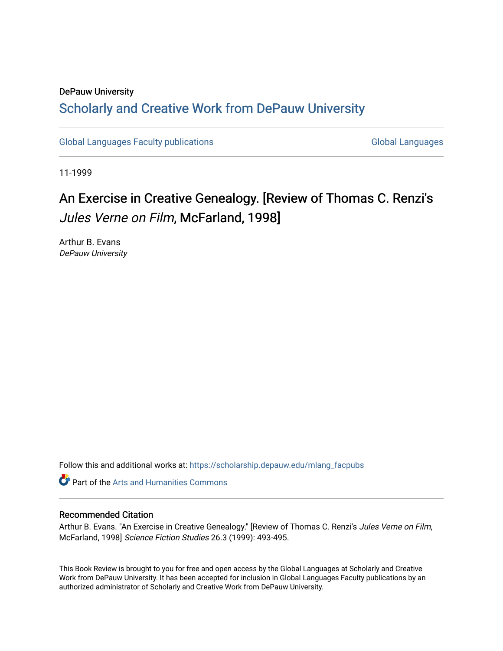## DePauw University Scholarly and [Creative Work from DePauw Univ](https://scholarship.depauw.edu/)ersity

[Global Languages Faculty publications](https://scholarship.depauw.edu/mlang_facpubs) [Global Languages](https://scholarship.depauw.edu/modernlanguages) Global Languages

11-1999

## An Exercise in Creative Genealogy. [Review of Thomas C. Renzi's Jules Verne on Film, McFarland, 1998]

Arthur B. Evans DePauw University

Follow this and additional works at: [https://scholarship.depauw.edu/mlang\\_facpubs](https://scholarship.depauw.edu/mlang_facpubs?utm_source=scholarship.depauw.edu%2Fmlang_facpubs%2F25&utm_medium=PDF&utm_campaign=PDFCoverPages)

**Part of the Arts and Humanities Commons** 

## Recommended Citation

Arthur B. Evans. "An Exercise in Creative Genealogy." [Review of Thomas C. Renzi's Jules Verne on Film, McFarland, 1998] Science Fiction Studies 26.3 (1999): 493-495.

This Book Review is brought to you for free and open access by the Global Languages at Scholarly and Creative Work from DePauw University. It has been accepted for inclusion in Global Languages Faculty publications by an authorized administrator of Scholarly and Creative Work from DePauw University.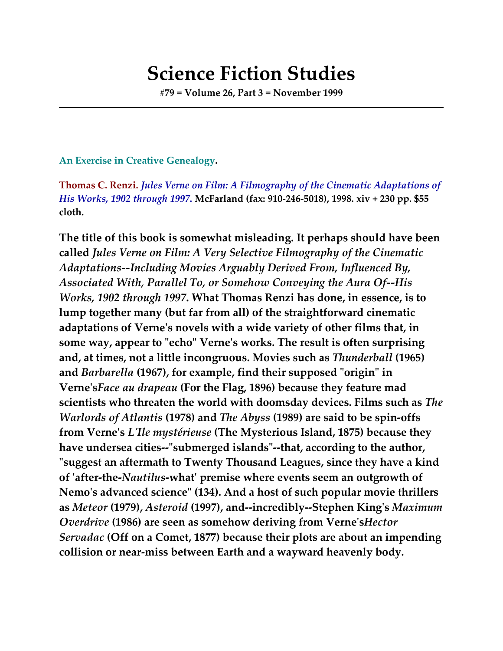## **Science Fiction Studies**

**#79 = Volume 26, Part 3 = November 1999**

**An Exercise in Creative Genealogy.**

**Thomas C. Renzi.** *Jules Verne on Film: A Filmography of the Cinematic Adaptations of His Works, 1902 through 1997***. McFarland (fax: 910-246-5018), 1998. xiv + 230 pp. \$55 cloth.**

**The title of this book is somewhat misleading. It perhaps should have been called** *Jules Verne on Film: A Very Selective Filmography of the Cinematic Adaptations--Including Movies Arguably Derived From, Influenced By, Associated With, Parallel To, or Somehow Conveying the Aura Of--His Works, 1902 through 1997***. What Thomas Renzi has done, in essence, is to lump together many (but far from all) of the straightforward cinematic adaptations of Verne's novels with a wide variety of other films that, in some way, appear to "echo" Verne's works. The result is often surprising and, at times, not a little incongruous. Movies such as** *Thunderball* **(1965) and** *Barbarella* **(1967), for example, find their supposed "origin" in Verne's***Face au drapeau* **(For the Flag, 1896) because they feature mad scientists who threaten the world with doomsday devices. Films such as** *The Warlords of Atlantis* **(1978) and** *The Abyss* **(1989) are said to be spin-offs from Verne's** *L'Ile mystérieuse* **(The Mysterious Island, 1875) because they have undersea cities--"submerged islands"--that, according to the author, "suggest an aftermath to Twenty Thousand Leagues, since they have a kind of 'after-the-***Nautilus***-what' premise where events seem an outgrowth of Nemo's advanced science" (134). And a host of such popular movie thrillers as** *Meteor* **(1979),** *Asteroid* **(1997), and--incredibly--Stephen King's** *Maximum Overdrive* **(1986) are seen as somehow deriving from Verne's***Hector Servadac* **(Off on a Comet, 1877) because their plots are about an impending collision or near-miss between Earth and a wayward heavenly body.**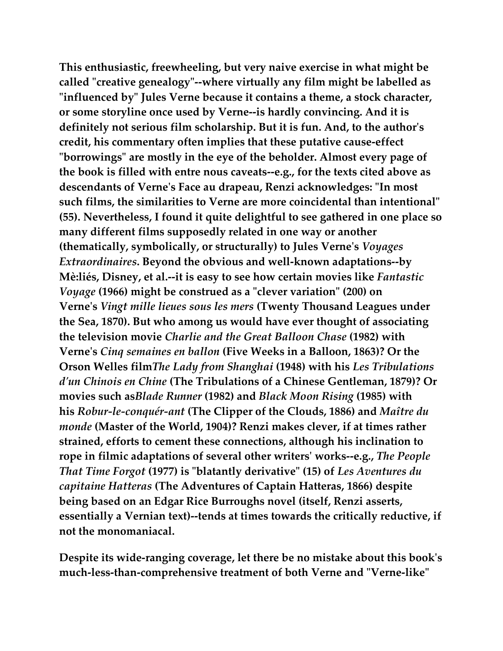**This enthusiastic, freewheeling, but very naive exercise in what might be called "creative genealogy"--where virtually any film might be labelled as "influenced by" Jules Verne because it contains a theme, a stock character, or some storyline once used by Verne--is hardly convincing. And it is definitely not serious film scholarship. But it is fun. And, to the author's credit, his commentary often implies that these putative cause-effect "borrowings" are mostly in the eye of the beholder. Almost every page of the book is filled with entre nous caveats--e.g., for the texts cited above as descendants of Verne's Face au drapeau, Renzi acknowledges: "In most such films, the similarities to Verne are more coincidental than intentional" (55). Nevertheless, I found it quite delightful to see gathered in one place so many different films supposedly related in one way or another (thematically, symbolically, or structurally) to Jules Verne's** *Voyages Extraordinaires***. Beyond the obvious and well-known adaptations--by Mè:liés, Disney, et al.--it is easy to see how certain movies like** *Fantastic Voyage* **(1966) might be construed as a "clever variation" (200) on Verne's** *Vingt mille lieues sous les mers* **(Twenty Thousand Leagues under the Sea, 1870). But who among us would have ever thought of associating the television movie** *Charlie and the Great Balloon Chase* **(1982) with Verne's** *Cinq semaines en ballon* **(Five Weeks in a Balloon, 1863)? Or the Orson Welles film***The Lady from Shanghai* **(1948) with his** *Les Tribulations d'un Chinois en Chine* **(The Tribulations of a Chinese Gentleman, 1879)? Or movies such as***Blade Runner* **(1982) and** *Black Moon Rising* **(1985) with his** *Robur-le-conquér-ant* **(The Clipper of the Clouds, 1886) and** *Maître du monde* **(Master of the World, 1904)? Renzi makes clever, if at times rather strained, efforts to cement these connections, although his inclination to rope in filmic adaptations of several other writers' works--e.g.,** *The People That Time Forgot* **(1977) is "blatantly derivative" (15) of** *Les Aventures du capitaine Hatteras* **(The Adventures of Captain Hatteras, 1866) despite being based on an Edgar Rice Burroughs novel (itself, Renzi asserts, essentially a Vernian text)--tends at times towards the critically reductive, if not the monomaniacal.**

**Despite its wide-ranging coverage, let there be no mistake about this book's much-less-than-comprehensive treatment of both Verne and "Verne-like"**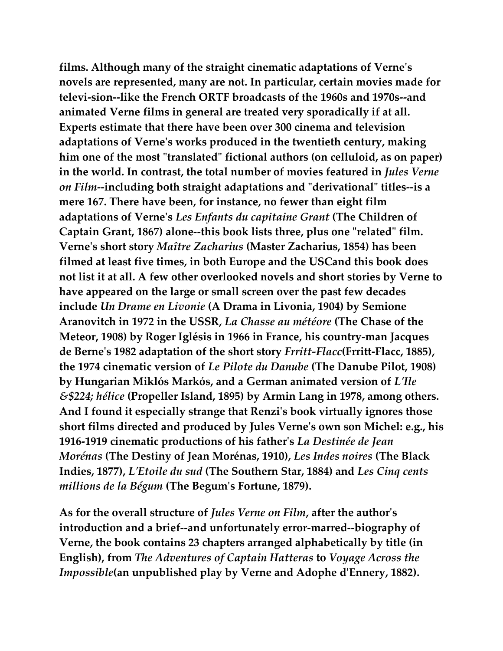**films. Although many of the straight cinematic adaptations of Verne's novels are represented, many are not. In particular, certain movies made for televi-sion--like the French ORTF broadcasts of the 1960s and 1970s--and animated Verne films in general are treated very sporadically if at all. Experts estimate that there have been over 300 cinema and television adaptations of Verne's works produced in the twentieth century, making him one of the most "translated" fictional authors (on celluloid, as on paper) in the world. In contrast, the total number of movies featured in** *Jules Verne on Film***--including both straight adaptations and "derivational" titles--is a mere 167. There have been, for instance, no fewer than eight film adaptations of Verne's** *Les Enfants du capitaine Grant* **(The Children of Captain Grant, 1867) alone--this book lists three, plus one "related" film. Verne's short story** *Maître Zacharius* **(Master Zacharius, 1854) has been filmed at least five times, in both Europe and the USCand this book does not list it at all. A few other overlooked novels and short stories by Verne to have appeared on the large or small screen over the past few decades include** *Un Drame en Livonie* **(A Drama in Livonia, 1904) by Semione Aranovitch in 1972 in the USSR,** *La Chasse au météore* **(The Chase of the Meteor, 1908) by Roger Iglésis in 1966 in France, his country-man Jacques de Berne's 1982 adaptation of the short story** *Frritt-Flacc***(Frritt-Flacc, 1885), the 1974 cinematic version of** *Le Pilote du Danube* **(The Danube Pilot, 1908) by Hungarian Miklós Markós, and a German animated version of** *L'Ile &\$224; hélice* **(Propeller Island, 1895) by Armin Lang in 1978, among others. And I found it especially strange that Renzi's book virtually ignores those short films directed and produced by Jules Verne's own son Michel: e.g., his 1916-1919 cinematic productions of his father's** *La Destinée de Jean Morénas* **(The Destiny of Jean Morénas, 1910),** *Les Indes noires* **(The Black Indies, 1877),** *L'Etoile du sud* **(The Southern Star, 1884) and** *Les Cinq cents millions de la Bégum* **(The Begum's Fortune, 1879).**

**As for the overall structure of** *Jules Verne on Film***, after the author's introduction and a brief--and unfortunately error-marred--biography of Verne, the book contains 23 chapters arranged alphabetically by title (in English), from** *The Adventures of Captain Hatteras* **to** *Voyage Across the Impossible***(an unpublished play by Verne and Adophe d'Ennery, 1882).**